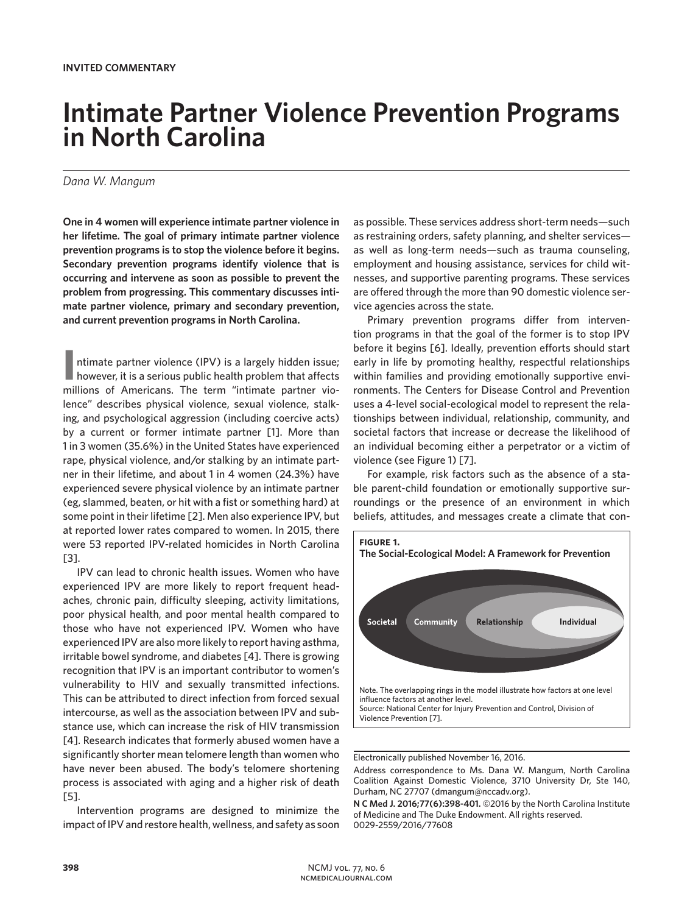## **Intimate Partner Violence Prevention Programs in North Carolina**

## *Dana W. Mangum*

**One in 4 women will experience intimate partner violence in her lifetime. The goal of primary intimate partner violence prevention programs is to stop the violence before it begins. Secondary prevention programs identify violence that is occurring and intervene as soon as possible to prevent the problem from progressing. This commentary discusses intimate partner violence, primary and secondary prevention, and current prevention programs in North Carolina.**

II **I** ntimate partner violence (IPV) is a largely hidden issue;<br>however, it is a serious public health problem that affects ntimate partner violence (IPV) is a largely hidden issue; millions of Americans. The term "intimate partner violence" describes physical violence, sexual violence, stalking, and psychological aggression (including coercive acts) by a current or former intimate partner [1]. More than 1 in 3 women (35.6%) in the United States have experienced rape, physical violence, and/or stalking by an intimate partner in their lifetime, and about 1 in 4 women (24.3%) have experienced severe physical violence by an intimate partner (eg, slammed, beaten, or hit with a fist or something hard) at some point in their lifetime [2]. Men also experience IPV, but at reported lower rates compared to women. In 2015, there were 53 reported IPV-related homicides in North Carolina [3].

IPV can lead to chronic health issues. Women who have experienced IPV are more likely to report frequent headaches, chronic pain, difficulty sleeping, activity limitations, poor physical health, and poor mental health compared to those who have not experienced IPV. Women who have experienced IPV are also more likely to report having asthma, irritable bowel syndrome, and diabetes [4]. There is growing recognition that IPV is an important contributor to women's vulnerability to HIV and sexually transmitted infections. This can be attributed to direct infection from forced sexual intercourse, as well as the association between IPV and substance use, which can increase the risk of HIV transmission [4]. Research indicates that formerly abused women have a significantly shorter mean telomere length than women who have never been abused. The body's telomere shortening process is associated with aging and a higher risk of death [5].

Intervention programs are designed to minimize the impact of IPV and restore health, wellness, and safety as soon as possible. These services address short-term needs—such as restraining orders, safety planning, and shelter services as well as long-term needs—such as trauma counseling, employment and housing assistance, services for child witnesses, and supportive parenting programs. These services are offered through the more than 90 domestic violence service agencies across the state.

Primary prevention programs differ from intervention programs in that the goal of the former is to stop IPV before it begins [6]. Ideally, prevention efforts should start early in life by promoting healthy, respectful relationships within families and providing emotionally supportive environments. The Centers for Disease Control and Prevention uses a 4-level social-ecological model to represent the relationships between individual, relationship, community, and societal factors that increase or decrease the likelihood of an individual becoming either a perpetrator or a victim of violence (see Figure 1) [7].

For example, risk factors such as the absence of a stable parent-child foundation or emotionally supportive surroundings or the presence of an environment in which beliefs, attitudes, and messages create a climate that con-



Electronically published November 16, 2016.

Address correspondence to Ms. Dana W. Mangum, North Carolina Coalition Against Domestic Violence, 3710 University Dr, Ste 140, Durham, NC 27707 (dmangum@nccadv.org).

**N C Med J. 2016;77(6):398-401.** ©2016 by the North Carolina Institute of Medicine and The Duke Endowment. All rights reserved. 0029-2559/2016/77608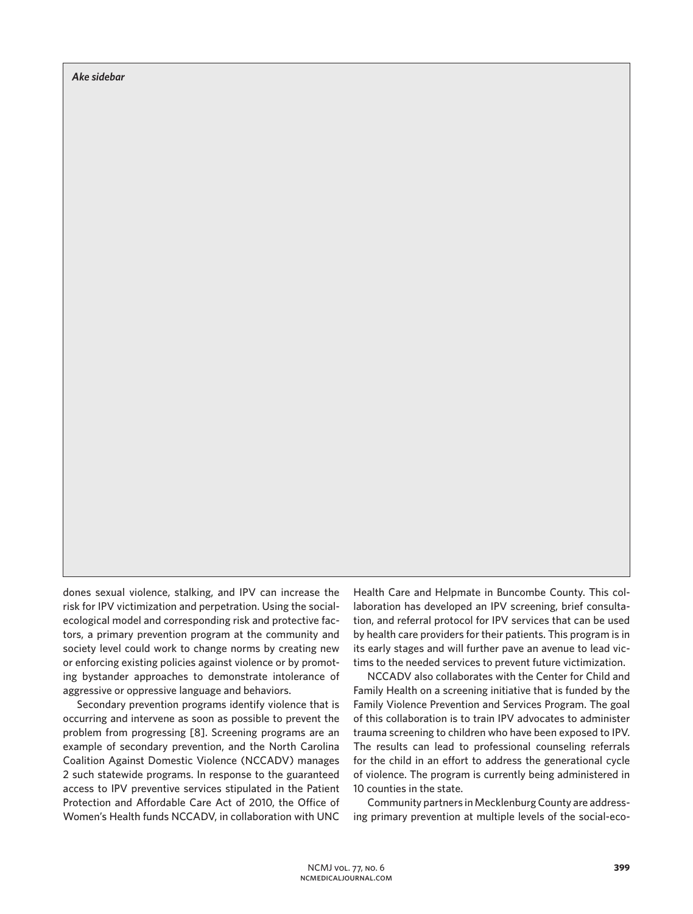*Ake sidebar*

dones sexual violence, stalking, and IPV can increase the risk for IPV victimization and perpetration. Using the socialecological model and corresponding risk and protective factors, a primary prevention program at the community and society level could work to change norms by creating new or enforcing existing policies against violence or by promoting bystander approaches to demonstrate intolerance of aggressive or oppressive language and behaviors.

Secondary prevention programs identify violence that is occurring and intervene as soon as possible to prevent the problem from progressing [8]. Screening programs are an example of secondary prevention, and the North Carolina Coalition Against Domestic Violence (NCCADV) manages 2 such statewide programs. In response to the guaranteed access to IPV preventive services stipulated in the Patient Protection and Affordable Care Act of 2010, the Office of Women's Health funds NCCADV, in collaboration with UNC

Health Care and Helpmate in Buncombe County. This collaboration has developed an IPV screening, brief consultation, and referral protocol for IPV services that can be used by health care providers for their patients. This program is in its early stages and will further pave an avenue to lead victims to the needed services to prevent future victimization.

NCCADV also collaborates with the Center for Child and Family Health on a screening initiative that is funded by the Family Violence Prevention and Services Program. The goal of this collaboration is to train IPV advocates to administer trauma screening to children who have been exposed to IPV. The results can lead to professional counseling referrals for the child in an effort to address the generational cycle of violence. The program is currently being administered in 10 counties in the state.

Community partners in Mecklenburg County are addressing primary prevention at multiple levels of the social-eco-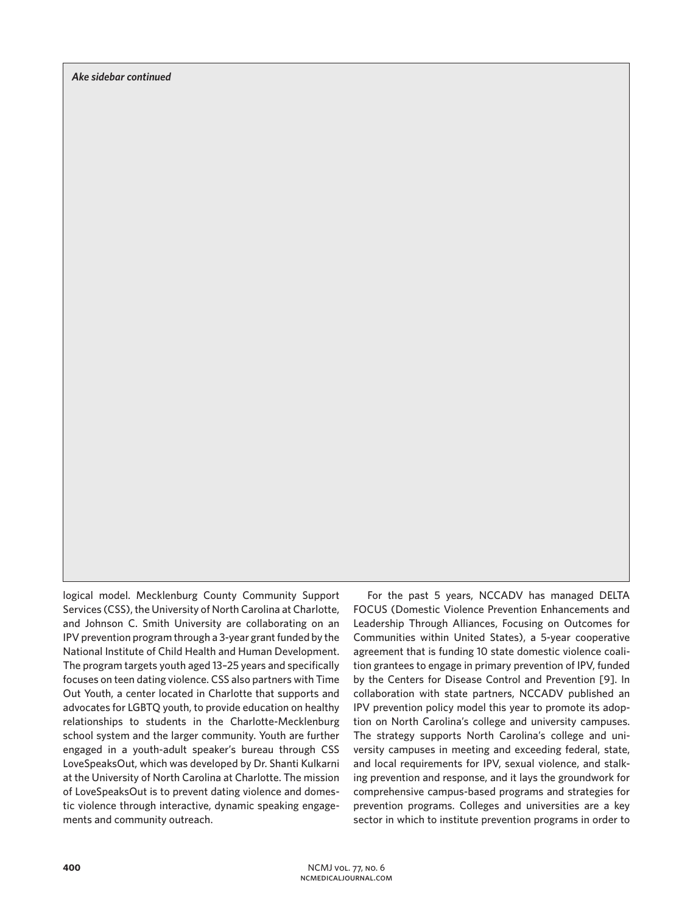logical model. Mecklenburg County Community Support Services (CSS), the University of North Carolina at Charlotte, and Johnson C. Smith University are collaborating on an IPV prevention program through a 3-year grant funded by the National Institute of Child Health and Human Development. The program targets youth aged 13–25 years and specifically focuses on teen dating violence. CSS also partners with Time Out Youth, a center located in Charlotte that supports and advocates for LGBTQ youth, to provide education on healthy relationships to students in the Charlotte-Mecklenburg school system and the larger community. Youth are further engaged in a youth-adult speaker's bureau through CSS LoveSpeaksOut, which was developed by Dr. Shanti Kulkarni at the University of North Carolina at Charlotte. The mission of LoveSpeaksOut is to prevent dating violence and domestic violence through interactive, dynamic speaking engagements and community outreach.

For the past 5 years, NCCADV has managed DELTA FOCUS (Domestic Violence Prevention Enhancements and Leadership Through Alliances, Focusing on Outcomes for Communities within United States), a 5-year cooperative agreement that is funding 10 state domestic violence coalition grantees to engage in primary prevention of IPV, funded by the Centers for Disease Control and Prevention [9]. In collaboration with state partners, NCCADV published an IPV prevention policy model this year to promote its adoption on North Carolina's college and university campuses. The strategy supports North Carolina's college and university campuses in meeting and exceeding federal, state, and local requirements for IPV, sexual violence, and stalking prevention and response, and it lays the groundwork for comprehensive campus-based programs and strategies for prevention programs. Colleges and universities are a key sector in which to institute prevention programs in order to